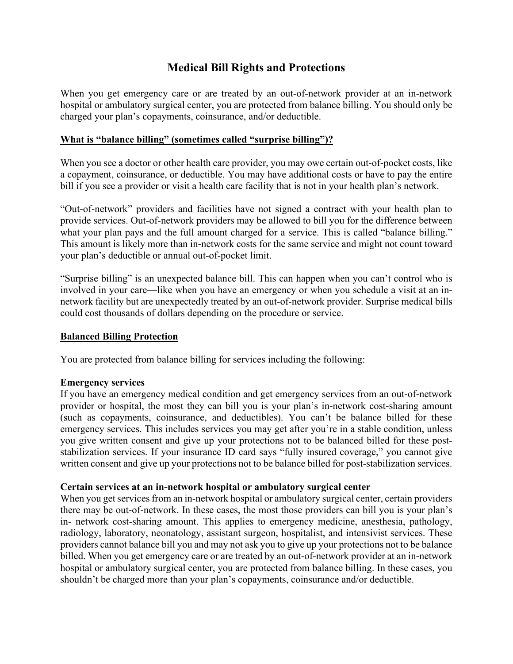# **Medical Bill Rights and Protections**

When you get emergency care or are treated by an out-of-network provider at an in-network hospital or ambulatory surgical center, you are protected from balance billing. You should only be charged your plan's copayments, coinsurance, and/or deductible.

# **What is "balance billing" (sometimes called "surprise billing")?**

When you see a doctor or other health care provider, you may owe certain out-of-pocket costs, like a copayment, coinsurance, or deductible. You may have additional costs or have to pay the entire bill if you see a provider or visit a health care facility that is not in your health plan's network.

"Out-of-network" providers and facilities have not signed a contract with your health plan to provide services. Out-of-network providers may be allowed to bill you for the difference between what your plan pays and the full amount charged for a service. This is called "balance billing." This amount is likely more than in-network costs for the same service and might not count toward your plan's deductible or annual out-of-pocket limit.

"Surprise billing" is an unexpected balance bill. This can happen when you can't control who is involved in your care—like when you have an emergency or when you schedule a visit at an innetwork facility but are unexpectedly treated by an out-of-network provider. Surprise medical bills could cost thousands of dollars depending on the procedure or service.

# **Balanced Billing Protection**

You are protected from balance billing for services including the following:

# **Emergency services**

If you have an emergency medical condition and get emergency services from an out-of-network provider or hospital, the most they can bill you is your plan's in-network cost-sharing amount (such as copayments, coinsurance, and deductibles). You can't be balance billed for these emergency services. This includes services you may get after you're in a stable condition, unless you give written consent and give up your protections not to be balanced billed for these poststabilization services. If your insurance ID card says "fully insured coverage," you cannot give written consent and give up your protections not to be balance billed for post-stabilization services.

# **Certain services at an in-network hospital or ambulatory surgical center**

When you get services from an in-network hospital or ambulatory surgical center, certain providers there may be out-of-network. In these cases, the most those providers can bill you is your plan's in- network cost-sharing amount. This applies to emergency medicine, anesthesia, pathology, radiology, laboratory, neonatology, assistant surgeon, hospitalist, and intensivist services. These providers cannot balance bill you and may not ask you to give up your protections not to be balance billed. When you get emergency care or are treated by an out-of-network provider at an in-network hospital or ambulatory surgical center, you are protected from balance billing. In these cases, you shouldn't be charged more than your plan's copayments, coinsurance and/or deductible.